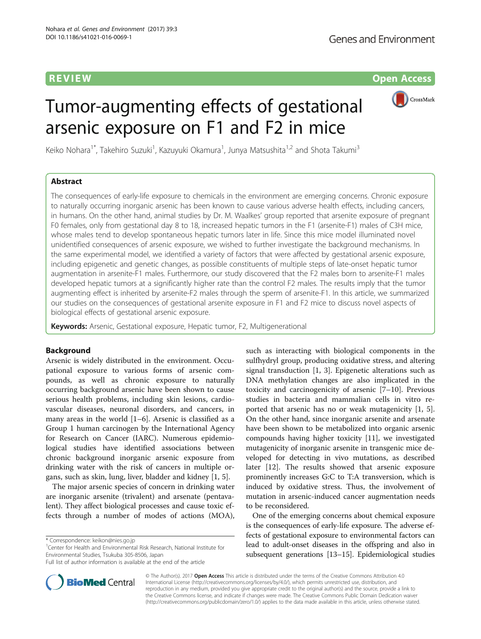**REVIEW CONSIDERING CONSIDERING CONSIDERING CONSIDERING CONSIDERING CONSIDERING CONSIDERING CONSIDERING CONSIDERING CONSIDERING CONSIDERING CONSIDERING CONSIDERING CONSIDERING CONSIDERING CONSIDERING CONSIDERING CONSIDER** 



# Tumor-augmenting effects of gestational arsenic exposure on F1 and F2 in mice

Keiko Nohara<sup>1\*</sup>, Takehiro Suzuki<sup>1</sup>, Kazuyuki Okamura<sup>1</sup>, Junya Matsushita<sup>1,2</sup> and Shota Takumi<sup>3</sup>

#### Abstract

The consequences of early-life exposure to chemicals in the environment are emerging concerns. Chronic exposure to naturally occurring inorganic arsenic has been known to cause various adverse health effects, including cancers, in humans. On the other hand, animal studies by Dr. M. Waalkes' group reported that arsenite exposure of pregnant F0 females, only from gestational day 8 to 18, increased hepatic tumors in the F1 (arsenite-F1) males of C3H mice, whose males tend to develop spontaneous hepatic tumors later in life. Since this mice model illuminated novel unidentified consequences of arsenic exposure, we wished to further investigate the background mechanisms. In the same experimental model, we identified a variety of factors that were affected by gestational arsenic exposure, including epigenetic and genetic changes, as possible constituents of multiple steps of late-onset hepatic tumor augmentation in arsenite-F1 males. Furthermore, our study discovered that the F2 males born to arsenite-F1 males developed hepatic tumors at a significantly higher rate than the control F2 males. The results imply that the tumor augmenting effect is inherited by arsenite-F2 males through the sperm of arsenite-F1. In this article, we summarized our studies on the consequences of gestational arsenite exposure in F1 and F2 mice to discuss novel aspects of biological effects of gestational arsenic exposure.

Keywords: Arsenic, Gestational exposure, Hepatic tumor, F2, Multigenerational

#### Background

Arsenic is widely distributed in the environment. Occupational exposure to various forms of arsenic compounds, as well as chronic exposure to naturally occurring background arsenic have been shown to cause serious health problems, including skin lesions, cardiovascular diseases, neuronal disorders, and cancers, in many areas in the world [[1](#page-6-0)–[6\]](#page-6-0). Arsenic is classified as a Group 1 human carcinogen by the International Agency for Research on Cancer (IARC). Numerous epidemiological studies have identified associations between chronic background inorganic arsenic exposure from drinking water with the risk of cancers in multiple organs, such as skin, lung, liver, bladder and kidney [[1, 5\]](#page-6-0).

The major arsenic species of concern in drinking water are inorganic arsenite (trivalent) and arsenate (pentavalent). They affect biological processes and cause toxic effects through a number of modes of actions (MOA),

<sup>1</sup> Center for Health and Environmental Risk Research, National Institute for Environmental Studies, Tsukuba 305-8506, Japan



such as interacting with biological components in the

One of the emerging concerns about chemical exposure is the consequences of early-life exposure. The adverse effects of gestational exposure to environmental factors can lead to adult-onset diseases in the offspring and also in subsequent generations [[13](#page-6-0)–[15](#page-6-0)]. Epidemiological studies



© The Author(s). 2017 **Open Access** This article is distributed under the terms of the Creative Commons Attribution 4.0 International License [\(http://creativecommons.org/licenses/by/4.0/](http://creativecommons.org/licenses/by/4.0/)), which permits unrestricted use, distribution, and reproduction in any medium, provided you give appropriate credit to the original author(s) and the source, provide a link to the Creative Commons license, and indicate if changes were made. The Creative Commons Public Domain Dedication waiver [\(http://creativecommons.org/publicdomain/zero/1.0/](http://creativecommons.org/publicdomain/zero/1.0/)) applies to the data made available in this article, unless otherwise stated.

<sup>\*</sup> Correspondence: [keikon@nies.go.jp](mailto:keikon@nies.go.jp) <sup>1</sup>

Full list of author information is available at the end of the article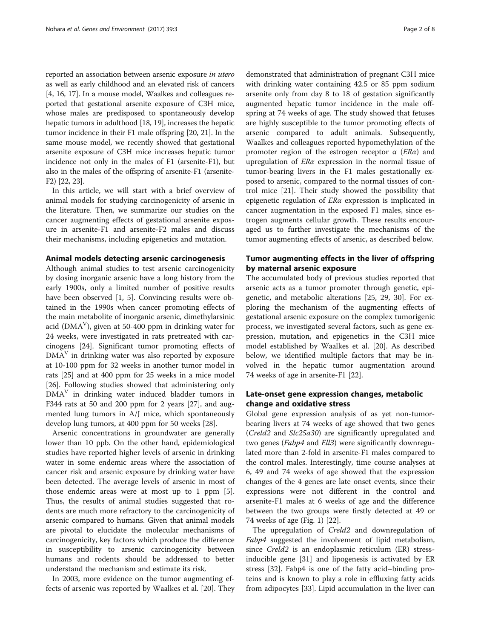reported an association between arsenic exposure in utero as well as early childhood and an elevated risk of cancers [[4, 16](#page-6-0), [17](#page-6-0)]. In a mouse model, Waalkes and colleagues reported that gestational arsenite exposure of C3H mice, whose males are predisposed to spontaneously develop hepatic tumors in adulthood [\[18, 19\]](#page-6-0), increases the hepatic tumor incidence in their F1 male offspring [\[20, 21](#page-6-0)]. In the same mouse model, we recently showed that gestational arsenite exposure of C3H mice increases hepatic tumor incidence not only in the males of F1 (arsenite-F1), but also in the males of the offspring of arsenite-F1 (arsenite-F2) [\[22, 23](#page-6-0)].

In this article, we will start with a brief overview of animal models for studying carcinogenicity of arsenic in the literature. Then, we summarize our studies on the cancer augmenting effects of gestational arsenite exposure in arsenite-F1 and arsenite-F2 males and discuss their mechanisms, including epigenetics and mutation.

#### Animal models detecting arsenic carcinogenesis

Although animal studies to test arsenic carcinogenicity by dosing inorganic arsenic have a long history from the early 1900s, only a limited number of positive results have been observed [\[1](#page-6-0), [5](#page-6-0)]. Convincing results were obtained in the 1990s when cancer promoting effects of the main metabolite of inorganic arsenic, dimethylarsinic acid (DMA<sup>V</sup>), given at 50-400 ppm in drinking water for 24 weeks, were investigated in rats pretreated with carcinogens [\[24](#page-6-0)]. Significant tumor promoting effects of  $DMA<sup>V</sup>$  in drinking water was also reported by exposure at 10-100 ppm for 32 weeks in another tumor model in rats [[25](#page-6-0)] and at 400 ppm for 25 weeks in a mice model [[26\]](#page-6-0). Following studies showed that administering only  $DMA<sup>V</sup>$  in drinking water induced bladder tumors in F344 rats at 50 and 200 ppm for 2 years [[27\]](#page-6-0), and augmented lung tumors in A/J mice, which spontaneously develop lung tumors, at 400 ppm for 50 weeks [\[28](#page-6-0)].

Arsenic concentrations in groundwater are generally lower than 10 ppb. On the other hand, epidemiological studies have reported higher levels of arsenic in drinking water in some endemic areas where the association of cancer risk and arsenic exposure by drinking water have been detected. The average levels of arsenic in most of those endemic areas were at most up to 1 ppm [\[5](#page-6-0)]. Thus, the results of animal studies suggested that rodents are much more refractory to the carcinogenicity of arsenic compared to humans. Given that animal models are pivotal to elucidate the molecular mechanisms of carcinogenicity, key factors which produce the difference in susceptibility to arsenic carcinogenicity between humans and rodents should be addressed to better understand the mechanism and estimate its risk.

In 2003, more evidence on the tumor augmenting effects of arsenic was reported by Waalkes et al. [[20\]](#page-6-0). They demonstrated that administration of pregnant C3H mice with drinking water containing 42.5 or 85 ppm sodium arsenite only from day 8 to 18 of gestation significantly augmented hepatic tumor incidence in the male offspring at 74 weeks of age. The study showed that fetuses are highly susceptible to the tumor promoting effects of arsenic compared to adult animals. Subsequently, Waalkes and colleagues reported hypomethylation of the promoter region of the estrogen receptor  $\alpha$  (*ERa*) and upregulation of ERα expression in the normal tissue of tumor-bearing livers in the F1 males gestationally exposed to arsenic, compared to the normal tissues of control mice [\[21\]](#page-6-0). Their study showed the possibility that epigenetic regulation of ERα expression is implicated in cancer augmentation in the exposed F1 males, since estrogen augments cellular growth. These results encouraged us to further investigate the mechanisms of the tumor augmenting effects of arsenic, as described below.

#### Tumor augmenting effects in the liver of offspring by maternal arsenic exposure

The accumulated body of previous studies reported that arsenic acts as a tumor promoter through genetic, epigenetic, and metabolic alterations [[25, 29](#page-6-0), [30\]](#page-6-0). For exploring the mechanism of the augmenting effects of gestational arsenic exposure on the complex tumorigenic process, we investigated several factors, such as gene expression, mutation, and epigenetics in the C3H mice model established by Waalkes et al. [\[20\]](#page-6-0). As described below, we identified multiple factors that may be involved in the hepatic tumor augmentation around 74 weeks of age in arsenite-F1 [[22](#page-6-0)].

#### Late-onset gene expression changes, metabolic change and oxidative stress

Global gene expression analysis of as yet non-tumorbearing livers at 74 weeks of age showed that two genes (Creld2 and Slc25a30) are significantly upregulated and two genes (*Fabp4* and *Ell3*) were significantly downregulated more than 2-fold in arsenite-F1 males compared to the control males. Interestingly, time course analyses at 6, 49 and 74 weeks of age showed that the expression changes of the 4 genes are late onset events, since their expressions were not different in the control and arsenite-F1 males at 6 weeks of age and the difference between the two groups were firstly detected at 49 or 74 weeks of age (Fig. [1\)](#page-2-0) [\[22\]](#page-6-0).

The upregulation of *Creld2* and downregulation of Fabp4 suggested the involvement of lipid metabolism, since Creld2 is an endoplasmic reticulum (ER) stressinducible gene [[31\]](#page-6-0) and lipogenesis is activated by ER stress [[32](#page-6-0)]. Fabp4 is one of the fatty acid–binding proteins and is known to play a role in effluxing fatty acids from adipocytes [\[33](#page-6-0)]. Lipid accumulation in the liver can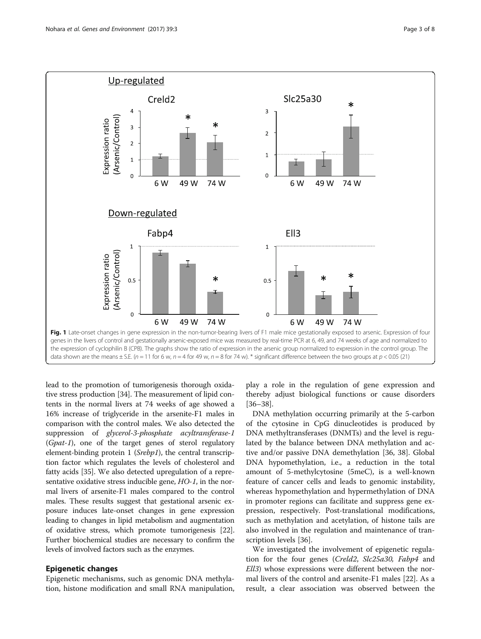<span id="page-2-0"></span>

lead to the promotion of tumorigenesis thorough oxidative stress production [\[34](#page-6-0)]. The measurement of lipid contents in the normal livers at 74 weeks of age showed a 16% increase of triglyceride in the arsenite-F1 males in comparison with the control males. We also detected the suppression of glycerol-3-phosphate acyltransferase-1 (Gpat-1), one of the target genes of sterol regulatory element-binding protein 1 (*Srebp1*), the central transcription factor which regulates the levels of cholesterol and fatty acids [\[35](#page-6-0)]. We also detected upregulation of a representative oxidative stress inducible gene, HO-1, in the normal livers of arsenite-F1 males compared to the control males. These results suggest that gestational arsenic exposure induces late-onset changes in gene expression leading to changes in lipid metabolism and augmentation of oxidative stress, which promote tumorigenesis [[22](#page-6-0)]. Further biochemical studies are necessary to confirm the levels of involved factors such as the enzymes.

#### Epigenetic changes

Epigenetic mechanisms, such as genomic DNA methylation, histone modification and small RNA manipulation,

play a role in the regulation of gene expression and thereby adjust biological functions or cause disorders [[36](#page-6-0)–[38](#page-6-0)].

DNA methylation occurring primarily at the 5-carbon of the cytosine in CpG dinucleotides is produced by DNA methyltransferases (DNMTs) and the level is regulated by the balance between DNA methylation and active and/or passive DNA demethylation [\[36, 38\]](#page-6-0). Global DNA hypomethylation, i.e., a reduction in the total amount of 5-methylcytosine (5meC), is a well-known feature of cancer cells and leads to genomic instability, whereas hypomethylation and hypermethylation of DNA in promoter regions can facilitate and suppress gene expression, respectively. Post-translational modifications, such as methylation and acetylation, of histone tails are also involved in the regulation and maintenance of transcription levels [[36\]](#page-6-0).

We investigated the involvement of epigenetic regulation for the four genes (Creld2, Slc25a30, Fabp4 and Ell3) whose expressions were different between the normal livers of the control and arsenite-F1 males [\[22](#page-6-0)]. As a result, a clear association was observed between the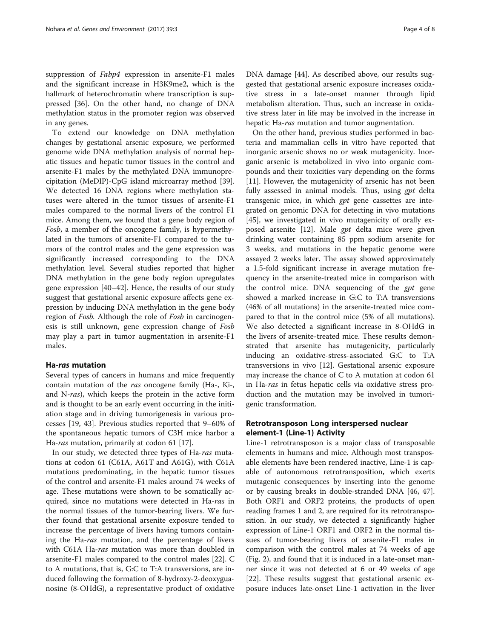suppression of *Fabp4* expression in arsenite-F1 males and the significant increase in H3K9me2, which is the hallmark of heterochromatin where transcription is suppressed [\[36](#page-6-0)]. On the other hand, no change of DNA methylation status in the promoter region was observed in any genes.

To extend our knowledge on DNA methylation changes by gestational arsenic exposure, we performed genome wide DNA methylation analysis of normal hepatic tissues and hepatic tumor tissues in the control and arsenite-F1 males by the methylated DNA immunoprecipitation (MeDIP)-CpG island microarray method [\[39](#page-6-0)]. We detected 16 DNA regions where methylation statuses were altered in the tumor tissues of arsenite-F1 males compared to the normal livers of the control F1 mice. Among them, we found that a gene body region of Fosb, a member of the oncogene family, is hypermethylated in the tumors of arsenite-F1 compared to the tumors of the control males and the gene expression was significantly increased corresponding to the DNA methylation level. Several studies reported that higher DNA methylation in the gene body region upregulates gene expression [\[40](#page-6-0)–[42\]](#page-7-0). Hence, the results of our study suggest that gestational arsenic exposure affects gene expression by inducing DNA methylation in the gene body region of Fosb. Although the role of Fosb in carcinogenesis is still unknown, gene expression change of Fosb may play a part in tumor augmentation in arsenite-F1 males.

#### Ha-ras mutation

Several types of cancers in humans and mice frequently contain mutation of the ras oncogene family (Ha-, Ki-, and N-ras), which keeps the protein in the active form and is thought to be an early event occurring in the initiation stage and in driving tumorigenesis in various processes [\[19,](#page-6-0) [43\]](#page-7-0). Previous studies reported that 9–60% of the spontaneous hepatic tumors of C3H mice harbor a Ha-ras mutation, primarily at codon 61 [[17](#page-6-0)].

In our study, we detected three types of Ha-ras mutations at codon 61 (C61A, A61T and A61G), with C61A mutations predominating, in the hepatic tumor tissues of the control and arsenite-F1 males around 74 weeks of age. These mutations were shown to be somatically acquired, since no mutations were detected in Ha-ras in the normal tissues of the tumor-bearing livers. We further found that gestational arsenite exposure tended to increase the percentage of livers having tumors containing the Ha-ras mutation, and the percentage of livers with C61A Ha-ras mutation was more than doubled in arsenite-F1 males compared to the control males [[22](#page-6-0)]. C to A mutations, that is, G:C to T:A transversions, are induced following the formation of 8-hydroxy-2-deoxyguanosine (8-OHdG), a representative product of oxidative

DNA damage [\[44\]](#page-7-0). As described above, our results suggested that gestational arsenic exposure increases oxidative stress in a late-onset manner through lipid metabolism alteration. Thus, such an increase in oxidative stress later in life may be involved in the increase in hepatic Ha-ras mutation and tumor augmentation.

On the other hand, previous studies performed in bacteria and mammalian cells in vitro have reported that inorganic arsenic shows no or weak mutagenicity. Inorganic arsenic is metabolized in vivo into organic compounds and their toxicities vary depending on the forms [[11\]](#page-6-0). However, the mutagenicity of arsenic has not been fully assessed in animal models. Thus, using gpt delta transgenic mice, in which gpt gene cassettes are integrated on genomic DNA for detecting in vivo mutations [[45\]](#page-7-0), we investigated in vivo mutagenicity of orally ex-posed arsenite [\[12\]](#page-6-0). Male *gpt* delta mice were given drinking water containing 85 ppm sodium arsenite for 3 weeks, and mutations in the hepatic genome were assayed 2 weeks later. The assay showed approximately a 1.5-fold significant increase in average mutation frequency in the arsenite-treated mice in comparison with the control mice. DNA sequencing of the *gpt* gene showed a marked increase in G:C to T:A transversions (46% of all mutations) in the arsenite-treated mice compared to that in the control mice (5% of all mutations). We also detected a significant increase in 8-OHdG in the livers of arsenite-treated mice. These results demonstrated that arsenite has mutagenicity, particularly inducing an oxidative-stress-associated G:C to T:A transversions in vivo [\[12\]](#page-6-0). Gestational arsenic exposure may increase the chance of C to A mutation at codon 61 in Ha-ras in fetus hepatic cells via oxidative stress production and the mutation may be involved in tumorigenic transformation.

#### Retrotransposon Long interspersed nuclear element-1 (Line-1) Activity

Line-1 retrotransposon is a major class of transposable elements in humans and mice. Although most transposable elements have been rendered inactive, Line-1 is capable of autonomous retrotransposition, which exerts mutagenic consequences by inserting into the genome or by causing breaks in double-stranded DNA [\[46](#page-7-0), [47](#page-7-0)]. Both ORF1 and ORF2 proteins, the products of open reading frames 1 and 2, are required for its retrotransposition. In our study, we detected a significantly higher expression of Line-1 ORF1 and ORF2 in the normal tissues of tumor-bearing livers of arsenite-F1 males in comparison with the control males at 74 weeks of age (Fig. [2](#page-4-0)), and found that it is induced in a late-onset manner since it was not detected at 6 or 49 weeks of age [[22\]](#page-6-0). These results suggest that gestational arsenic exposure induces late-onset Line-1 activation in the liver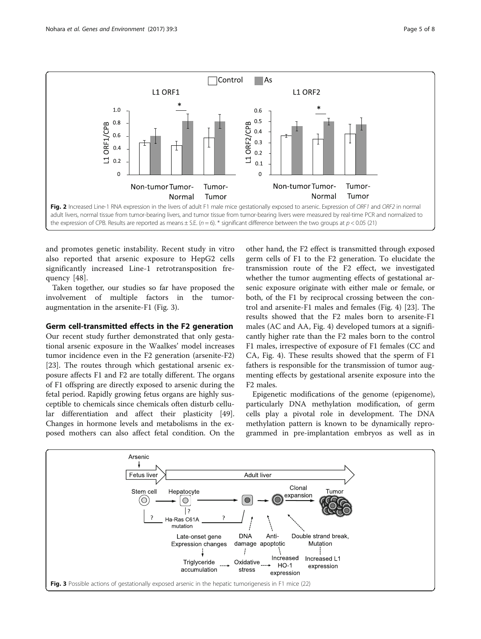

<span id="page-4-0"></span>

and promotes genetic instability. Recent study in vitro also reported that arsenic exposure to HepG2 cells significantly increased Line-1 retrotransposition frequency [[48\]](#page-7-0).

Taken together, our studies so far have proposed the involvement of multiple factors in the tumoraugmentation in the arsenite-F1 (Fig. 3).

#### Germ cell-transmitted effects in the F2 generation

Our recent study further demonstrated that only gestational arsenic exposure in the Waalkes' model increases tumor incidence even in the F2 generation (arsenite-F2) [[23\]](#page-6-0). The routes through which gestational arsenic exposure affects F1 and F2 are totally different. The organs of F1 offspring are directly exposed to arsenic during the fetal period. Rapidly growing fetus organs are highly susceptible to chemicals since chemicals often disturb cellular differentiation and affect their plasticity [\[49](#page-7-0)]. Changes in hormone levels and metabolisms in the exposed mothers can also affect fetal condition. On the

other hand, the F2 effect is transmitted through exposed germ cells of F1 to the F2 generation. To elucidate the transmission route of the F2 effect, we investigated whether the tumor augmenting effects of gestational arsenic exposure originate with either male or female, or both, of the F1 by reciprocal crossing between the control and arsenite-F1 males and females (Fig. [4](#page-5-0)) [[23\]](#page-6-0). The results showed that the F2 males born to arsenite-F1 males (AC and AA, Fig. [4](#page-5-0)) developed tumors at a significantly higher rate than the F2 males born to the control F1 males, irrespective of exposure of F1 females (CC and CA, Fig. [4](#page-5-0)). These results showed that the sperm of F1 fathers is responsible for the transmission of tumor augmenting effects by gestational arsenite exposure into the F2 males.

Epigenetic modifications of the genome (epigenome), particularly DNA methylation modification, of germ cells play a pivotal role in development. The DNA methylation pattern is known to be dynamically reprogrammed in pre-implantation embryos as well as in

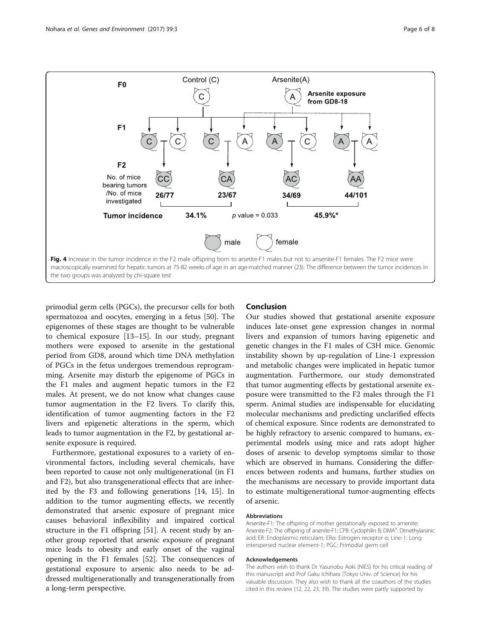<span id="page-5-0"></span>

primodial germ cells (PGCs), the precursor cells for both spermatozoa and oocytes, emerging in a fetus [[50](#page-7-0)]. The epigenomes of these stages are thought to be vulnerable to chemical exposure [\[13](#page-6-0)–[15\]](#page-6-0). In our study, pregnant mothers were exposed to arsenite in the gestational period from GD8, around which time DNA methylation of PGCs in the fetus undergoes tremendous reprogramming. Arsenite may disturb the epigenome of PGCs in the F1 males and augment hepatic tumors in the F2 males. At present, we do not know what changes cause tumor augmentation in the F2 livers. To clarify this, identification of tumor augmenting factors in the F2 livers and epigenetic alterations in the sperm, which leads to tumor augmentation in the F2, by gestational arsenite exposure is required.

Furthermore, gestational exposures to a variety of environmental factors, including several chemicals, have been reported to cause not only multigenerational (in F1 and F2), but also transgenerational effects that are inherited by the F3 and following generations [\[14](#page-6-0), [15](#page-6-0)]. In addition to the tumor augmenting effects, we recently demonstrated that arsenic exposure of pregnant mice causes behavioral inflexibility and impaired cortical structure in the F1 offspring [[51\]](#page-7-0). A recent study by another group reported that arsenic exposure of pregnant mice leads to obesity and early onset of the vaginal opening in the F1 females [[52\]](#page-7-0). The consequences of gestational exposure to arsenic also needs to be addressed multigenerationally and transgenerationally from a long-term perspective.

#### Conclusion

Our studies showed that gestational arsenite exposure induces late-onset gene expression changes in normal livers and expansion of tumors having epigenetic and genetic changes in the F1 males of C3H mice. Genomic instability shown by up-regulation of Line-1 expression and metabolic changes were implicated in hepatic tumor augmentation. Furthermore, our study demonstrated that tumor augmenting effects by gestational arsenite exposure were transmitted to the F2 males through the F1 sperm. Animal studies are indispensable for elucidating molecular mechanisms and predicting unclarified effects of chemical exposure. Since rodents are demonstrated to be highly refractory to arsenic compared to humans, experimental models using mice and rats adopt higher doses of arsenic to develop symptoms similar to those which are observed in humans. Considering the differences between rodents and humans, further studies on the mechanisms are necessary to provide important data to estimate multigenerational tumor-augmenting effects of arsenic.

#### Abbreviations

Arsenite-F1: The offspring of mother gestationally exposed to arnenite; Arsenite-F2: The offspring of arsenite-F1; CPB: Cyclophilin B; DMA<sup>V</sup>: Dimethylarsinic acid; ER: Endoplasmic reticulam; ERα: Estrogen receptor α; Line-1: Long interspersed nuclear element-1; PGC: Primodial germ cell

#### Acknowledgements

The authors wish to thank Dr Yasunobu Aoki (NIES) for his critical reading of this manuscript and Prof Gaku Ichihara (Tokyo Univ. of Science) for his valuable discussion. They also wish to thank all the coauthors of the studies cited in this review (12, 22, 23, 39). The studies were partly supported by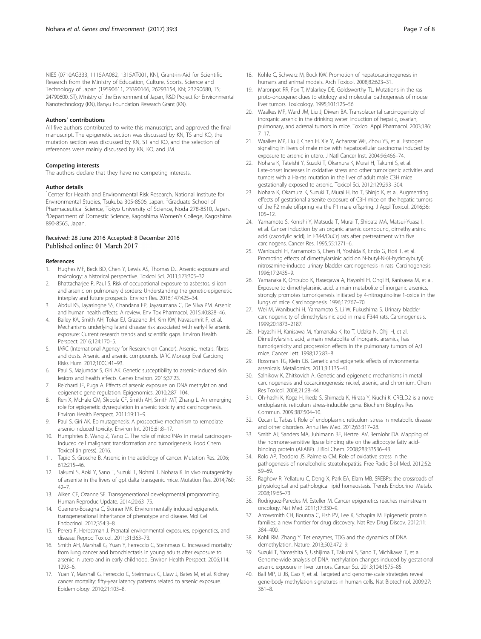<span id="page-6-0"></span>NIES (0710AG333, 1115AA082, 1315AT001, KN), Grant-in-Aid for Scientific Research from the Ministry of Education, Culture, Sports, Science and Technology of Japan (19590611, 23390166, 26293154, KN; 23790680, TS; 24790600, ST), Ministry of the Environment of Japan, R&D Project for Environmental Nanotechnology (KN), Banyu Foundation Research Grant (KN).

#### Authors' contributions

All five authors contributed to write this manuscript, and approved the final manuscript. The epigenetic section was discussed by KN, TS and KO, the mutation section was discussed by KN, ST and KO, and the selection of references were mainly discussed by KN, KO, and JM.

#### Competing interests

The authors declare that they have no competing interests.

#### Author details

<sup>1</sup> Center for Health and Environmental Risk Research, National Institute for Environmental Studies, Tsukuba 305-8506, Japan. <sup>2</sup>Graduate School of Pharmaceutical Science, Tokyo University of Science, Noda 278-8510, Japan. 3 Department of Domestic Science, Kagoshima Women's College, Kagoshima 890-8565, Japan.

## Received: 28 June 2016 Accepted: 8 December 2016

#### References

- 1. Hughes MF, Beck BD, Chen Y, Lewis AS, Thomas DJ. Arsenic exposure and toxicology: a historical perspective. Toxicol Sci. 2011;123:305–32.
- 2. Bhattacharjee P, Paul S. Risk of occupational exposure to asbestos, silicon and arsenic on pulmonary disorders: Understanding the genetic-epigenetic interplay and future prospects. Environ Res. 2016;147:425–34.
- 3. Abdul KS, Jayasinghe SS, Chandana EP, Jayasumana C, De Silva PM. Arsenic and human health effects: A review. Env Tox Pharmacol. 2015;40:828–46.
- 4. Bailey KA, Smith AH, Tokar EJ, Graziano JH, Kim KW, Navasumrit P, et al. Mechanisms underlying latent disease risk associated with early-life arsenic exposure: Current research trends and scientific gaps. Environ Health Perspect. 2016;124:170–5.
- 5. IARC (International Agency for Research on Cancer). Arsenic, metals, fibres and dusts. Arsenic and arsenic compounds. IARC Monogr Eval Carciong Risks Hum. 2012;100C:41–93.
- Paul S, Majumdar S, Giri AK. Genetic susceptibility to arsenic-induced skin lesions and health effects. Genes Environ. 2015;37:23.
- 7. Reichard JF, Puga A. Effects of arsenic exposure on DNA methylation and epigenetic gene regulation. Epigenomics. 2010;2:87–104.
- 8. Ren X, McHale CM, Skibola CF, Smith AH, Smith MT, Zhang L. An emerging role for epigenetic dysregulation in arsenic toxicity and carcinogenesis. Environ Health Perspect. 2011;19:11–9.
- Paul S, Giri AK. Epimutagenesis: A prospective mechanism to remediate arsenic-induced toxicity. Environ Int. 2015;81:8–17.
- 10. Humphries B, Wang Z, Yang C. The role of microRNAs in metal carcinogeninduced cell malignant transformation and tumorigenesis. Food Chem Toxicol (in press). 2016.
- 11. Tapio S, Grosche B. Arsenic in the aetiology of cancer. Mutation Res. 2006; 612:215–46.
- 12. Takumi S, Aoki Y, Sano T, Suzuki T, Nohmi T, Nohara K. In vivo mutagenicity of arsenite in the livers of gpt dalta transgenic mice. Mutation Res. 2014;760:  $42 - 7$ .
- 13. Aiken CE, Ozanne SE. Transgenerational developmental programming. Human Reproduc Update. 2014;20:63–75.
- 14. Guerrero-Bosagna C, Skinner MK. Environmentally induced epigenetic transgenerational inheritance of phenotype and disease. Mol Cell Endocrinol. 2012;354:3–8.
- 15. Perera F, Herbstman J. Prenatal environmental exposures, epigenetics, and disease. Reprod Toxicol. 2011;31:363–73.
- 16. Smith AH, Marshall G, Yuan Y, Ferreccio C, Steinmaus C. Increased mortality from lung cancer and bronchiectasis in young adults after exposure to arsenic in utero and in early childhood. Environ Health Perspect. 2006;114: 1293–6.
- 17. Yuan Y, Marshall G, Ferreccio C, Steinmaus C, Liaw J, Bates M, et al. Kidney cancer mortality: fifty-year latency patterns related to arsenic exposure. Epidemiology. 2010;21:103–8.
- 18. Köhle C, Schwarz M, Bock KW. Promotion of hepatocarcinogenesis in humans and animal models. Arch Toxicol. 2008;82:623–31.
- 19. Maronpot RR, Fox T, Malarkey DE, Goldsworthy TL. Mutations in the ras proto-oncogene: clues to etiology and molecular pathogenesis of mouse liver tumors. Toxicology. 1995;101:125–56.
- 20. Waalkes MP, Ward JM, Liu J, Diwan BA. Transplacental carcinogenicity of inorganic arsenic in the drinking water: induction of hepatic, ovarian, pulmonary, and adrenal tumors in mice. Toxicol Appl Pharmacol. 2003;186: 7–17.
- 21. Waalkes MP, Liu J, Chen H, Xie Y, Achanzar WE, Zhou YS, et al. Estrogen signaling in livers of male mice with hepatocellular carcinoma induced by exposure to arsenic in utero. J Natl Cancer Inst. 2004;96:466–74.
- 22. Nohara K, Tateishi Y, Suzuki T, Okamura K, Murai H, Takumi S, et al. Late-onset increases in oxidative stress and other tumorigenic activities and tumors with a Ha-ras mutation in the liver of adult male C3H mice gestationally exposed to arsenic. Toxicol Sci. 2012;129:293–304.
- 23. Nohara K, Okamura K, Suzuki T, Murai H, Ito T, Shinjo K, et al. Augmenting effects of gestational arsenite exposure of C3H mice on the hepatic tumors of the F2 male offspring via the F1 male offspring. J Appl Toxicol. 2016;36: 105–12.
- 24. Yamamoto S, Konishi Y, Matsuda T, Murai T, Shibata MA, Matsui-Yuasa I, et al. Cancer induction by an organic arsenic compound, dimethylarsinic acid (cacodylic acid), in F344/DuCrj rats after pretreatment with five carcinogens. Cancer Res. 1995;55:1271–6.
- 25. Wanibuchi H, Yamamoto S, Chen H, Yoshida K, Endo G, Hori T, et al. Promoting effects of dimethylarsinic acid on N-butyl-N-(4-hydroxybutyl) nitrosamine-induced urinary bladder carcinogenesis in rats. Carcinogenesis. 1996;17:2435–9.
- 26. Yamanaka K, Ohtsubo K, Hasegawa A, Hayashi H, Ohgi H, Kanisawa M, et al. Exposure to dimethylarsinic acid, a main metabolite of inorganic arsenics, strongly promotes tumorigenesis initiated by 4-nitroquinoline 1-oxide in the lungs of mice. Carcinogenesis. 1996;17:767–70.
- 27. Wei M, Wanibuchi H, Yamamoto S, Li W, Fukushima S. Urinary bladder carcinogenicity of dimethylarsinic acid in male F344 rats. Carcinogenesis. 1999;20:1873–2187.
- 28. Hayashi H, Kanisawa M, Yamanaka K, Ito T, Udaka N, Ohji H, et al. Dimethylarsinic acid, a main metabolite of inorganic arsenics, has tumorigenicity and progression effects in the pulmonary tumors of A/J mice. Cancer Lett. 1998;125:83–8.
- 29. Rossman TG, Klein CB. Genetic and epigenetic effects of nvironmental arsenicals. Metallomics. 2011;3:1135–41.
- 30. Salnikow K, Zhitkovich A. Genetic and epigenetic mechanisms in metal carcinogenesis and cocarcinogenesis: nickel, arsenic, and chromium. Chem Res Toxicol. 2008;21:28–44.
- 31. Oh-hashi K, Koga H, Ikeda S, Shimada K, Hirata Y, Kiuchi K. CRELD2 is a novel endoplasmic reticulum stress-inducible gene. Biochem Biophys Res Commun. 2009;387:504–10.
- 32. Ozcan L, Tabas I. Role of endoplasmic reticulum stress in metabolic disease and other disorders. Annu Rev Med. 2012;63:317–28.
- 33. Smith AJ, Sanders MA, Juhlmann BE, Hertzel AV, Bernlohr DA. Mapping of the hormone-sensitive lipase binding site on the adipocyte fatty acidbinding protein (AFABP). J Biol Chem. 2008;283:33536–43.
- 34. Rolo AP, Teodoro JS, Palmeira CM. Role of oxidative stress in the pathogenesis of nonalcoholic steatohepatitis. Free Radic Biol Med. 2012;52: 59–69.
- 35. Raghow R, Yellaturu C, Deng X, Park EA, Elam MB. SREBPs: the crossroads of physiological and pathological lipid homeostasis. Trends Endocrinol Metab. 2008;19:65–73.
- 36. Rodriguez-Paredes M, Esteller M. Cancer epigenetics reaches mainstream oncology. Nat Med. 2011;17:330–9.
- 37. Arrowsmith CH, Bountra C, Fish PV, Lee K, Schapira M. Epigenetic protein families: a new frontier for drug discovery. Nat Rev Drug Discov. 2012;11: 384–400.
- 38. Kohli RM, Zhang Y. Tet enzymes, TDG and the dynamics of DNA demethylation. Nature. 2013;502:472–9.
- 39. Suzuki T, Yamashita S, Ushijima T, Takumi S, Sano T, Michikawa T, et al. Genome-wide analysis of DNA methylation changes induced by gestational arsenic exposure in liver tumors. Cancer Sci. 2013;104:1575–85.
- 40. Ball MP, Li JB, Gao Y, et al. Targeted and genome-scale strategies reveal gene-body methylation signatures in human cells. Nat Biotechnol. 2009;27: 361–8.